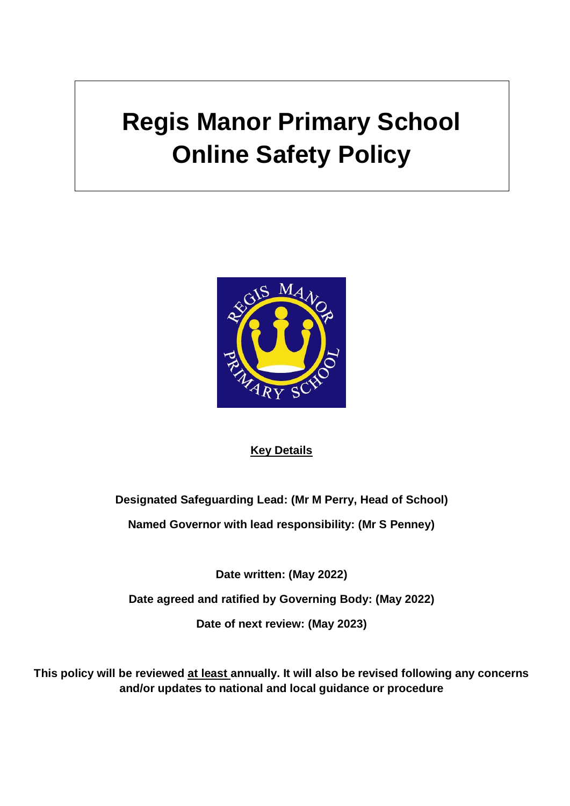# **Regis Manor Primary School Online Safety Policy**



#### **Key Details**

**Designated Safeguarding Lead: (Mr M Perry, Head of School)**

**Named Governor with lead responsibility: (Mr S Penney)**

**Date written: (May 2022)**

**Date agreed and ratified by Governing Body: (May 2022)**

**Date of next review: (May 2023)** 

**This policy will be reviewed at least annually. It will also be revised following any concerns and/or updates to national and local guidance or procedure**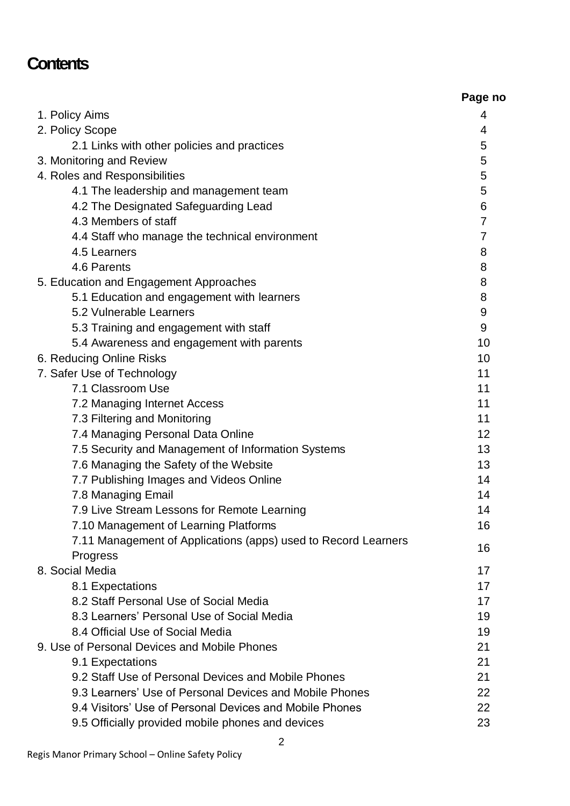### **Contents**

|                                                                | Page no        |
|----------------------------------------------------------------|----------------|
| 1. Policy Aims                                                 | 4              |
| 2. Policy Scope                                                | 4              |
| 2.1 Links with other policies and practices                    | 5              |
| 3. Monitoring and Review                                       | 5              |
| 4. Roles and Responsibilities                                  | 5              |
| 4.1 The leadership and management team                         | 5              |
| 4.2 The Designated Safeguarding Lead                           | 6              |
| 4.3 Members of staff                                           | $\overline{7}$ |
| 4.4 Staff who manage the technical environment                 | 7              |
| 4.5 Learners                                                   | 8              |
| 4.6 Parents                                                    | 8              |
| 5. Education and Engagement Approaches                         | 8              |
| 5.1 Education and engagement with learners                     | 8              |
| 5.2 Vulnerable Learners                                        | 9              |
| 5.3 Training and engagement with staff                         | 9              |
| 5.4 Awareness and engagement with parents                      | 10             |
| 6. Reducing Online Risks                                       | 10             |
| 7. Safer Use of Technology                                     | 11             |
| 7.1 Classroom Use                                              | 11             |
| 7.2 Managing Internet Access                                   | 11             |
| 7.3 Filtering and Monitoring                                   | 11             |
| 7.4 Managing Personal Data Online                              | 12             |
| 7.5 Security and Management of Information Systems             | 13             |
| 7.6 Managing the Safety of the Website                         | 13             |
| 7.7 Publishing Images and Videos Online                        | 14             |
| 7.8 Managing Email                                             | 14             |
| 7.9 Live Stream Lessons for Remote Learning                    | 14             |
| 7.10 Management of Learning Platforms                          | 16             |
| 7.11 Management of Applications (apps) used to Record Learners | 16             |
| Progress                                                       |                |
| 8. Social Media                                                | 17             |
| 8.1 Expectations                                               | 17             |
| 8.2 Staff Personal Use of Social Media                         | 17             |
| 8.3 Learners' Personal Use of Social Media                     | 19             |
| 8.4 Official Use of Social Media                               | 19             |
| 9. Use of Personal Devices and Mobile Phones                   | 21             |
| 9.1 Expectations                                               | 21             |
| 9.2 Staff Use of Personal Devices and Mobile Phones            | 21             |
| 9.3 Learners' Use of Personal Devices and Mobile Phones        | 22             |
| 9.4 Visitors' Use of Personal Devices and Mobile Phones        | 22             |
| 9.5 Officially provided mobile phones and devices              | 23             |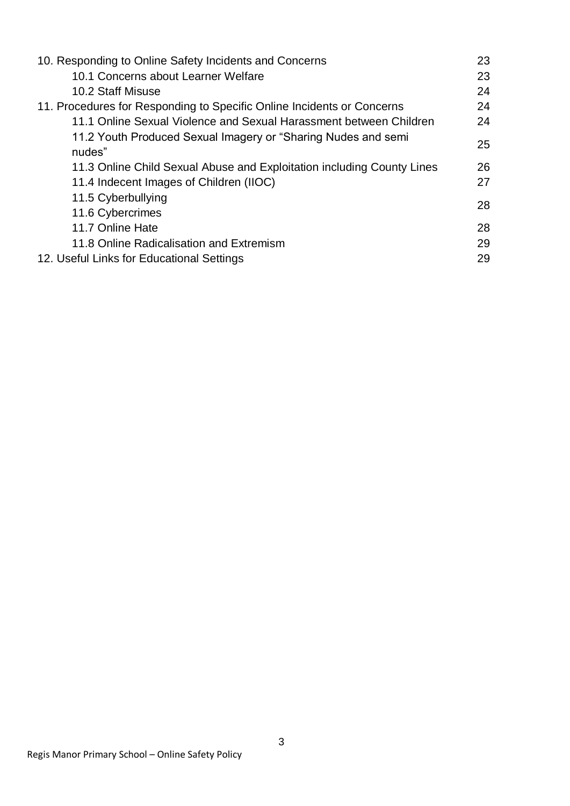| 10. Responding to Online Safety Incidents and Concerns                  | 23 |
|-------------------------------------------------------------------------|----|
| 10.1 Concerns about Learner Welfare                                     | 23 |
| 10.2 Staff Misuse                                                       | 24 |
| 11. Procedures for Responding to Specific Online Incidents or Concerns  | 24 |
| 11.1 Online Sexual Violence and Sexual Harassment between Children      | 24 |
| 11.2 Youth Produced Sexual Imagery or "Sharing Nudes and semi<br>nudes" | 25 |
| 11.3 Online Child Sexual Abuse and Exploitation including County Lines  | 26 |
| 11.4 Indecent Images of Children (IIOC)                                 | 27 |
| 11.5 Cyberbullying                                                      | 28 |
| 11.6 Cybercrimes                                                        |    |
| 11.7 Online Hate                                                        | 28 |
| 11.8 Online Radicalisation and Extremism                                | 29 |
| 12. Useful Links for Educational Settings                               | 29 |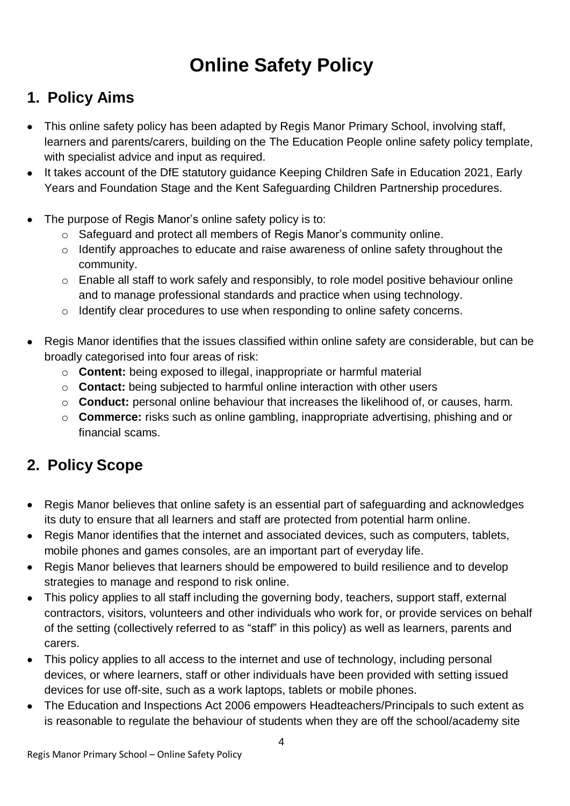## **Online Safety Policy**

### **1. Policy Aims**

- This online safety policy has been adapted by Regis Manor Primary School, involving staff, learners and parents/carers, building on the The Education People online safety policy template, with specialist advice and input as required.
- It takes account of the DfE statutory guidance Keeping Children Safe in Education 2021, Early Years and Foundation Stage and the Kent Safeguarding Children Partnership procedures.
- The purpose of Regis Manor's online safety policy is to:
	- o Safeguard and protect all members of Regis Manor's community online.
	- o Identify approaches to educate and raise awareness of online safety throughout the community.
	- o Enable all staff to work safely and responsibly, to role model positive behaviour online and to manage professional standards and practice when using technology.
	- o Identify clear procedures to use when responding to online safety concerns.
- Regis Manor identifies that the issues classified within online safety are considerable, but can be broadly categorised into four areas of risk:
	- o **Content:** being exposed to illegal, inappropriate or harmful material
	- o **Contact:** being subjected to harmful online interaction with other users
	- o **Conduct:** personal online behaviour that increases the likelihood of, or causes, harm.
	- o **Commerce:** risks such as online gambling, inappropriate advertising, phishing and or financial scams.

### **2. Policy Scope**

- Regis Manor believes that online safety is an essential part of safeguarding and acknowledges its duty to ensure that all learners and staff are protected from potential harm online.
- Regis Manor identifies that the internet and associated devices, such as computers, tablets, mobile phones and games consoles, are an important part of everyday life.
- Regis Manor believes that learners should be empowered to build resilience and to develop strategies to manage and respond to risk online.
- This policy applies to all staff including the governing body, teachers, support staff, external contractors, visitors, volunteers and other individuals who work for, or provide services on behalf of the setting (collectively referred to as "staff" in this policy) as well as learners, parents and carers.
- This policy applies to all access to the internet and use of technology, including personal devices, or where learners, staff or other individuals have been provided with setting issued devices for use off-site, such as a work laptops, tablets or mobile phones.
- The Education and Inspections Act 2006 empowers Headteachers/Principals to such extent as is reasonable to regulate the behaviour of students when they are off the school/academy site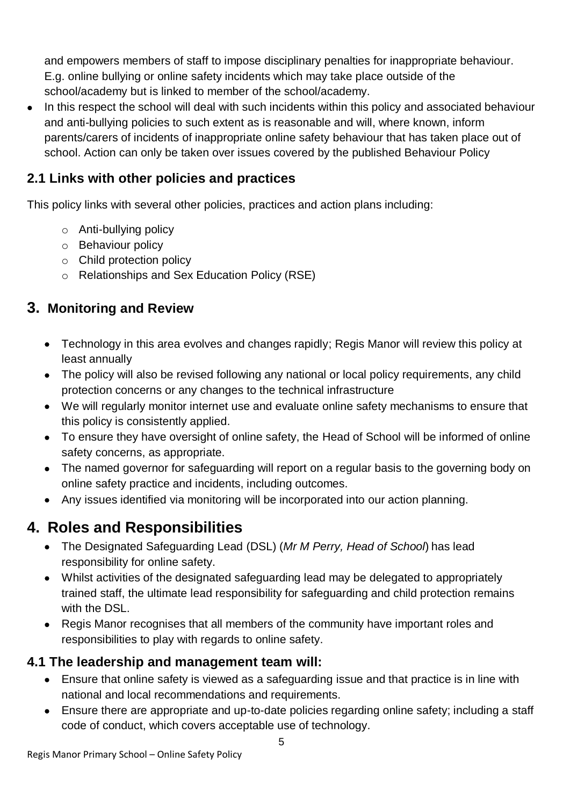and empowers members of staff to impose disciplinary penalties for inappropriate behaviour. E.g. online bullying or online safety incidents which may take place outside of the school/academy but is linked to member of the school/academy.

 In this respect the school will deal with such incidents within this policy and associated behaviour and anti-bullying policies to such extent as is reasonable and will, where known, inform parents/carers of incidents of inappropriate online safety behaviour that has taken place out of school. Action can only be taken over issues covered by the published Behaviour Policy

### **2.1 Links with other policies and practices**

This policy links with several other policies, practices and action plans including:

- o Anti-bullying policy
- o Behaviour policy
- o Child protection policy
- o Relationships and Sex Education Policy (RSE)

#### **3. Monitoring and Review**

- Technology in this area evolves and changes rapidly: Regis Manor will review this policy at least annually
- The policy will also be revised following any national or local policy requirements, any child protection concerns or any changes to the technical infrastructure
- We will regularly monitor internet use and evaluate online safety mechanisms to ensure that this policy is consistently applied.
- To ensure they have oversight of online safety, the Head of School will be informed of online safety concerns, as appropriate.
- The named governor for safeguarding will report on a regular basis to the governing body on online safety practice and incidents, including outcomes.
- Any issues identified via monitoring will be incorporated into our action planning.

### **4. Roles and Responsibilities**

- The Designated Safeguarding Lead (DSL) (*Mr M Perry, Head of School*) has lead responsibility for online safety.
- Whilst activities of the designated safeguarding lead may be delegated to appropriately trained staff, the ultimate lead responsibility for safeguarding and child protection remains with the DSL.
- Regis Manor recognises that all members of the community have important roles and responsibilities to play with regards to online safety.

#### **4.1 The leadership and management team will:**

- Ensure that online safety is viewed as a safeguarding issue and that practice is in line with national and local recommendations and requirements.
- Ensure there are appropriate and up-to-date policies regarding online safety; including a staff code of conduct, which covers acceptable use of technology.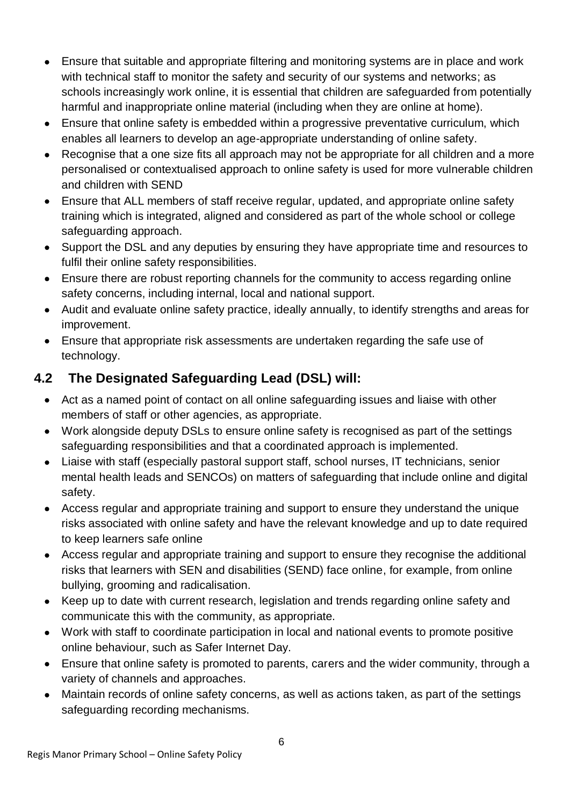- Ensure that suitable and appropriate filtering and monitoring systems are in place and work with technical staff to monitor the safety and security of our systems and networks; as schools increasingly work online, it is essential that children are safeguarded from potentially harmful and inappropriate online material (including when they are online at home).
- Ensure that online safety is embedded within a progressive preventative curriculum, which enables all learners to develop an age-appropriate understanding of online safety.
- Recognise that a one size fits all approach may not be appropriate for all children and a more personalised or contextualised approach to online safety is used for more vulnerable children and children with SEND
- Ensure that ALL members of staff receive regular, updated, and appropriate online safety training which is integrated, aligned and considered as part of the whole school or college safeguarding approach.
- Support the DSL and any deputies by ensuring they have appropriate time and resources to fulfil their online safety responsibilities.
- Ensure there are robust reporting channels for the community to access regarding online safety concerns, including internal, local and national support.
- Audit and evaluate online safety practice, ideally annually, to identify strengths and areas for improvement.
- Ensure that appropriate risk assessments are undertaken regarding the safe use of technology.

### **4.2 The Designated Safeguarding Lead (DSL) will:**

- Act as a named point of contact on all online safeguarding issues and liaise with other members of staff or other agencies, as appropriate.
- Work alongside deputy DSLs to ensure online safety is recognised as part of the settings safeguarding responsibilities and that a coordinated approach is implemented.
- Liaise with staff (especially pastoral support staff, school nurses, IT technicians, senior mental health leads and SENCOs) on matters of safeguarding that include online and digital safety.
- Access regular and appropriate training and support to ensure they understand the unique risks associated with online safety and have the relevant knowledge and up to date required to keep learners safe online
- Access regular and appropriate training and support to ensure they recognise the additional risks that learners with SEN and disabilities (SEND) face online, for example, from online bullying, grooming and radicalisation.
- Keep up to date with current research, legislation and trends regarding online safety and communicate this with the community, as appropriate.
- Work with staff to coordinate participation in local and national events to promote positive online behaviour, such as Safer Internet Day.
- Ensure that online safety is promoted to parents, carers and the wider community, through a variety of channels and approaches.
- Maintain records of online safety concerns, as well as actions taken, as part of the settings safeguarding recording mechanisms.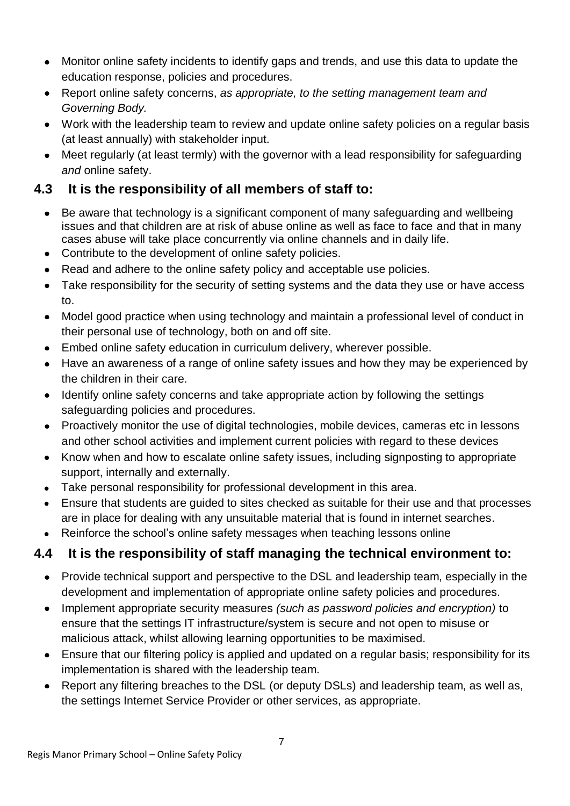- Monitor online safety incidents to identify gaps and trends, and use this data to update the education response, policies and procedures.
- Report online safety concerns, *as appropriate, to the setting management team and Governing Body.*
- Work with the leadership team to review and update online safety policies on a regular basis (at least annually) with stakeholder input.
- Meet regularly (at least termly) with the governor with a lead responsibility for safeguarding *and* online safety.

#### **4.3 It is the responsibility of all members of staff to:**

- Be aware that technology is a significant component of many safeguarding and wellbeing issues and that children are at risk of abuse online as well as face to face and that in many cases abuse will take place concurrently via online channels and in daily life.
- Contribute to the development of online safety policies.
- Read and adhere to the online safety policy and acceptable use policies.
- Take responsibility for the security of setting systems and the data they use or have access to.
- Model good practice when using technology and maintain a professional level of conduct in their personal use of technology, both on and off site.
- Embed online safety education in curriculum delivery, wherever possible.
- Have an awareness of a range of online safety issues and how they may be experienced by the children in their care.
- Identify online safety concerns and take appropriate action by following the settings safeguarding policies and procedures.
- Proactively monitor the use of digital technologies, mobile devices, cameras etc in lessons and other school activities and implement current policies with regard to these devices
- Know when and how to escalate online safety issues, including signposting to appropriate support, internally and externally.
- Take personal responsibility for professional development in this area.
- Ensure that students are guided to sites checked as suitable for their use and that processes are in place for dealing with any unsuitable material that is found in internet searches.
- Reinforce the school's online safety messages when teaching lessons online

### **4.4 It is the responsibility of staff managing the technical environment to:**

- Provide technical support and perspective to the DSL and leadership team, especially in the development and implementation of appropriate online safety policies and procedures.
- Implement appropriate security measures *(such as password policies and encryption)* to ensure that the settings IT infrastructure/system is secure and not open to misuse or malicious attack, whilst allowing learning opportunities to be maximised.
- Ensure that our filtering policy is applied and updated on a regular basis; responsibility for its implementation is shared with the leadership team.
- Report any filtering breaches to the DSL (or deputy DSLs) and leadership team, as well as, the settings Internet Service Provider or other services, as appropriate.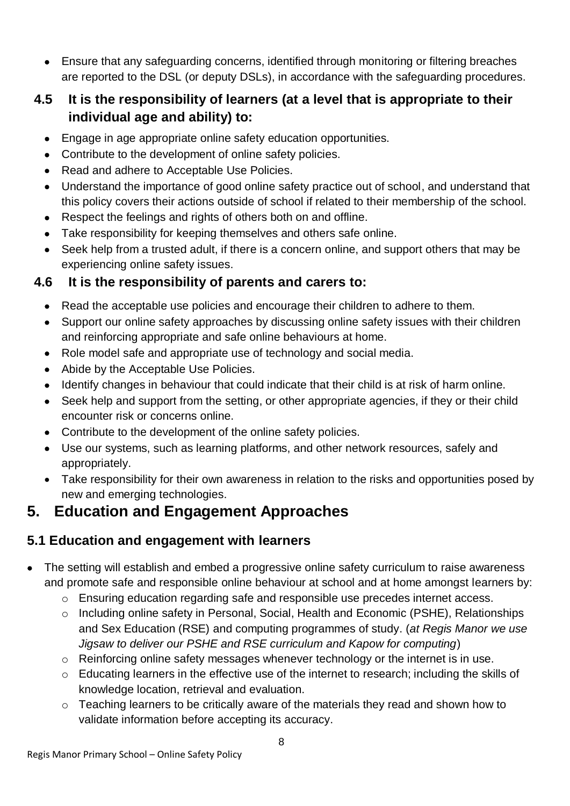Ensure that any safeguarding concerns, identified through monitoring or filtering breaches are reported to the DSL (or deputy DSLs), in accordance with the safeguarding procedures.

#### **4.5 It is the responsibility of learners (at a level that is appropriate to their individual age and ability) to:**

- Engage in age appropriate online safety education opportunities.
- Contribute to the development of online safety policies.
- Read and adhere to Acceptable Use Policies.
- Understand the importance of good online safety practice out of school, and understand that this policy covers their actions outside of school if related to their membership of the school.
- Respect the feelings and rights of others both on and offline.
- Take responsibility for keeping themselves and others safe online.
- Seek help from a trusted adult, if there is a concern online, and support others that may be experiencing online safety issues.

#### **4.6 It is the responsibility of parents and carers to:**

- Read the acceptable use policies and encourage their children to adhere to them.
- Support our online safety approaches by discussing online safety issues with their children and reinforcing appropriate and safe online behaviours at home.
- Role model safe and appropriate use of technology and social media.
- Abide by the Acceptable Use Policies.
- Identify changes in behaviour that could indicate that their child is at risk of harm online.
- Seek help and support from the setting, or other appropriate agencies, if they or their child encounter risk or concerns online.
- Contribute to the development of the online safety policies.
- Use our systems, such as learning platforms, and other network resources, safely and appropriately.
- Take responsibility for their own awareness in relation to the risks and opportunities posed by new and emerging technologies.

### **5. Education and Engagement Approaches**

### **5.1 Education and engagement with learners**

- The setting will establish and embed a progressive online safety curriculum to raise awareness and promote safe and responsible online behaviour at school and at home amongst learners by:
	- $\circ$  Ensuring education regarding safe and responsible use precedes internet access.
	- o Including online safety in Personal, Social, Health and Economic (PSHE), Relationships and Sex Education (RSE) and computing programmes of study. (*at Regis Manor we use Jigsaw to deliver our PSHE and RSE curriculum and Kapow for computing*)
	- o Reinforcing online safety messages whenever technology or the internet is in use.
	- o Educating learners in the effective use of the internet to research; including the skills of knowledge location, retrieval and evaluation.
	- o Teaching learners to be critically aware of the materials they read and shown how to validate information before accepting its accuracy.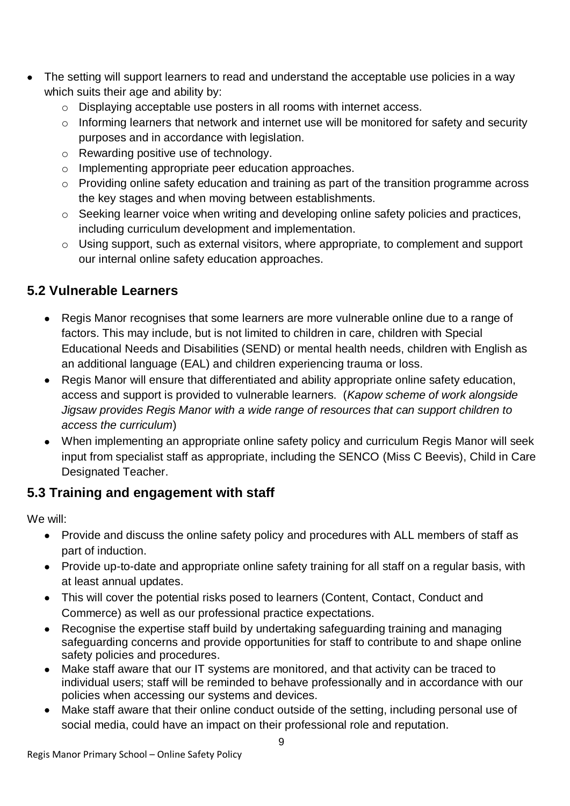- The setting will support learners to read and understand the acceptable use policies in a way which suits their age and ability by:
	- o Displaying acceptable use posters in all rooms with internet access.
	- o Informing learners that network and internet use will be monitored for safety and security purposes and in accordance with legislation.
	- o Rewarding positive use of technology.
	- o Implementing appropriate peer education approaches.
	- o Providing online safety education and training as part of the transition programme across the key stages and when moving between establishments.
	- o Seeking learner voice when writing and developing online safety policies and practices, including curriculum development and implementation.
	- o Using support, such as external visitors, where appropriate, to complement and support our internal online safety education approaches.

#### **5.2 Vulnerable Learners**

- Regis Manor recognises that some learners are more vulnerable online due to a range of factors. This may include, but is not limited to children in care, children with Special Educational Needs and Disabilities (SEND) or mental health needs, children with English as an additional language (EAL) and children experiencing trauma or loss.
- Regis Manor will ensure that differentiated and ability appropriate online safety education, access and support is provided to vulnerable learners. (*Kapow scheme of work alongside Jigsaw provides Regis Manor with a wide range of resources that can support children to access the curriculum*)
- When implementing an appropriate online safety policy and curriculum Regis Manor will seek input from specialist staff as appropriate, including the SENCO (Miss C Beevis), Child in Care Designated Teacher.

#### **5.3 Training and engagement with staff**

We will:

- Provide and discuss the online safety policy and procedures with ALL members of staff as part of induction.
- Provide up-to-date and appropriate online safety training for all staff on a regular basis, with at least annual updates.
- This will cover the potential risks posed to learners (Content, Contact, Conduct and Commerce) as well as our professional practice expectations.
- Recognise the expertise staff build by undertaking safeguarding training and managing safeguarding concerns and provide opportunities for staff to contribute to and shape online safety policies and procedures.
- Make staff aware that our IT systems are monitored, and that activity can be traced to individual users; staff will be reminded to behave professionally and in accordance with our policies when accessing our systems and devices.
- Make staff aware that their online conduct outside of the setting, including personal use of social media, could have an impact on their professional role and reputation.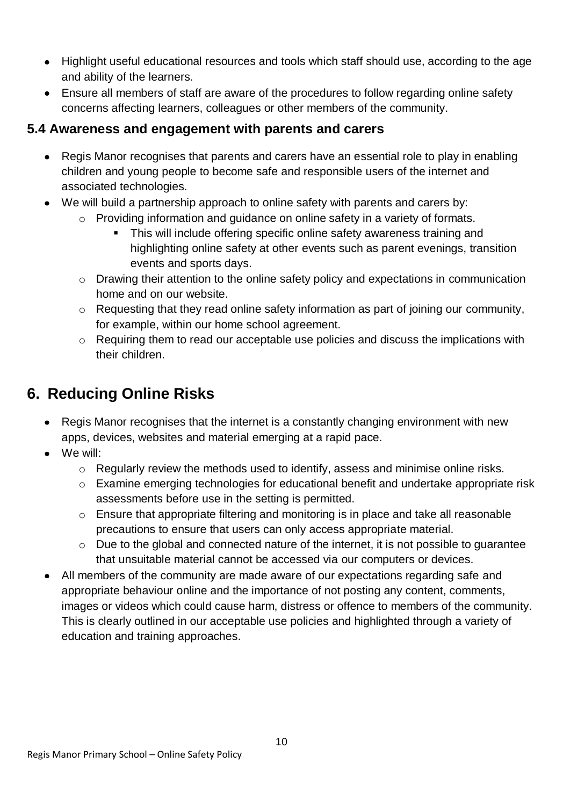- Highlight useful educational resources and tools which staff should use, according to the age and ability of the learners.
- Ensure all members of staff are aware of the procedures to follow regarding online safety concerns affecting learners, colleagues or other members of the community.

#### **5.4 Awareness and engagement with parents and carers**

- Regis Manor recognises that parents and carers have an essential role to play in enabling children and young people to become safe and responsible users of the internet and associated technologies.
- We will build a partnership approach to online safety with parents and carers by:
	- o Providing information and guidance on online safety in a variety of formats.
		- This will include offering specific online safety awareness training and highlighting online safety at other events such as parent evenings, transition events and sports days.
	- o Drawing their attention to the online safety policy and expectations in communication home and on our website.
	- o Requesting that they read online safety information as part of joining our community, for example, within our home school agreement.
	- o Requiring them to read our acceptable use policies and discuss the implications with their children.

### **6. Reducing Online Risks**

- Regis Manor recognises that the internet is a constantly changing environment with new apps, devices, websites and material emerging at a rapid pace.
- We will:
	- o Regularly review the methods used to identify, assess and minimise online risks.
	- o Examine emerging technologies for educational benefit and undertake appropriate risk assessments before use in the setting is permitted.
	- o Ensure that appropriate filtering and monitoring is in place and take all reasonable precautions to ensure that users can only access appropriate material.
	- o Due to the global and connected nature of the internet, it is not possible to guarantee that unsuitable material cannot be accessed via our computers or devices.
- All members of the community are made aware of our expectations regarding safe and appropriate behaviour online and the importance of not posting any content, comments, images or videos which could cause harm, distress or offence to members of the community. This is clearly outlined in our acceptable use policies and highlighted through a variety of education and training approaches.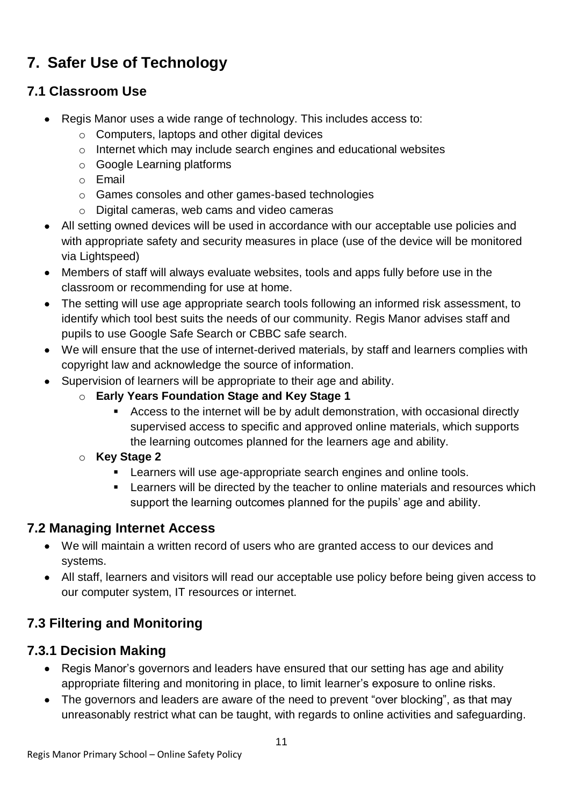### **7. Safer Use of Technology**

### **7.1 Classroom Use**

- Regis Manor uses a wide range of technology. This includes access to:
	- o Computers, laptops and other digital devices
	- o Internet which may include search engines and educational websites
	- o Google Learning platforms
	- o Email
	- o Games consoles and other games-based technologies
	- o Digital cameras, web cams and video cameras
- All setting owned devices will be used in accordance with our acceptable use policies and with appropriate safety and security measures in place (use of the device will be monitored via Lightspeed)
- Members of staff will always evaluate websites, tools and apps fully before use in the classroom or recommending for use at home.
- The setting will use age appropriate search tools following an informed risk assessment, to identify which tool best suits the needs of our community. Regis Manor advises staff and pupils to use Google Safe Search or CBBC safe search.
- We will ensure that the use of internet-derived materials, by staff and learners complies with copyright law and acknowledge the source of information.
- Supervision of learners will be appropriate to their age and ability.
	- o **Early Years Foundation Stage and Key Stage 1**
		- Access to the internet will be by adult demonstration, with occasional directly supervised access to specific and approved online materials, which supports the learning outcomes planned for the learners age and ability.
	- o **Key Stage 2** 
		- **EXECT** Learners will use age-appropriate search engines and online tools.
		- **EXTER 1** Learners will be directed by the teacher to online materials and resources which support the learning outcomes planned for the pupils' age and ability.

#### **7.2 Managing Internet Access**

- We will maintain a written record of users who are granted access to our devices and systems.
- All staff, learners and visitors will read our acceptable use policy before being given access to our computer system, IT resources or internet.

### **7.3 Filtering and Monitoring**

#### **7.3.1 Decision Making**

- Regis Manor's governors and leaders have ensured that our setting has age and ability appropriate filtering and monitoring in place, to limit learner's exposure to online risks.
- The governors and leaders are aware of the need to prevent "over blocking", as that may unreasonably restrict what can be taught, with regards to online activities and safeguarding.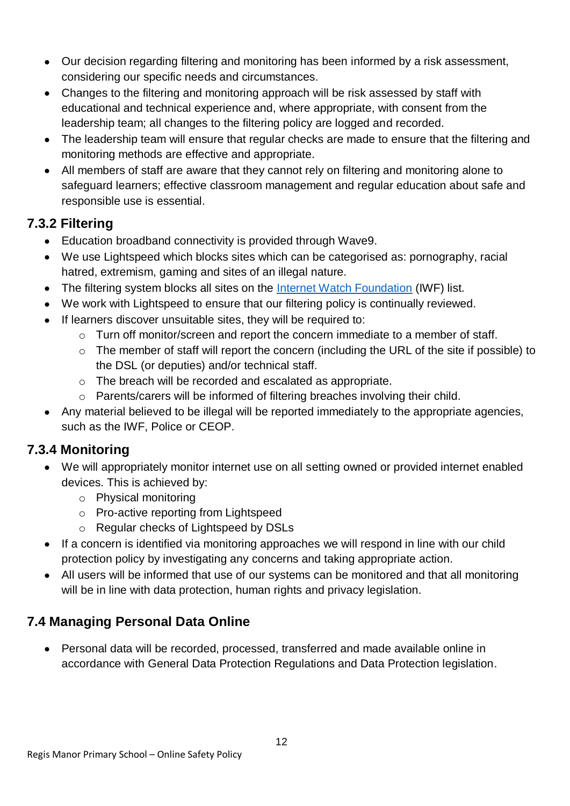- Our decision regarding filtering and monitoring has been informed by a risk assessment, considering our specific needs and circumstances.
- Changes to the filtering and monitoring approach will be risk assessed by staff with educational and technical experience and, where appropriate, with consent from the leadership team; all changes to the filtering policy are logged and recorded.
- The leadership team will ensure that regular checks are made to ensure that the filtering and monitoring methods are effective and appropriate.
- All members of staff are aware that they cannot rely on filtering and monitoring alone to safeguard learners; effective classroom management and regular education about safe and responsible use is essential.

#### **7.3.2 Filtering**

- Education broadband connectivity is provided through Wave9.
- We use Lightspeed which blocks sites which can be categorised as: pornography, racial hatred, extremism, gaming and sites of an illegal nature.
- The filtering system blocks all sites on the [Internet Watch Foundation](https://www.iwf.org.uk/) (IWF) list.
- We work with Lightspeed to ensure that our filtering policy is continually reviewed.
- If learners discover unsuitable sites, they will be required to:
	- o Turn off monitor/screen and report the concern immediate to a member of staff.
	- o The member of staff will report the concern (including the URL of the site if possible) to the DSL (or deputies) and/or technical staff.
	- o The breach will be recorded and escalated as appropriate.
	- o Parents/carers will be informed of filtering breaches involving their child.
- Any material believed to be illegal will be reported immediately to the appropriate agencies, such as the IWF, Police or CEOP.

### **7.3.4 Monitoring**

- We will appropriately monitor internet use on all setting owned or provided internet enabled devices. This is achieved by:
	- o Physical monitoring
	- o Pro-active reporting from Lightspeed
	- o Regular checks of Lightspeed by DSLs
- If a concern is identified via monitoring approaches we will respond in line with our child protection policy by investigating any concerns and taking appropriate action.
- All users will be informed that use of our systems can be monitored and that all monitoring will be in line with data protection, human rights and privacy legislation.

### **7.4 Managing Personal Data Online**

 Personal data will be recorded, processed, transferred and made available online in accordance with General Data Protection Regulations and Data Protection legislation.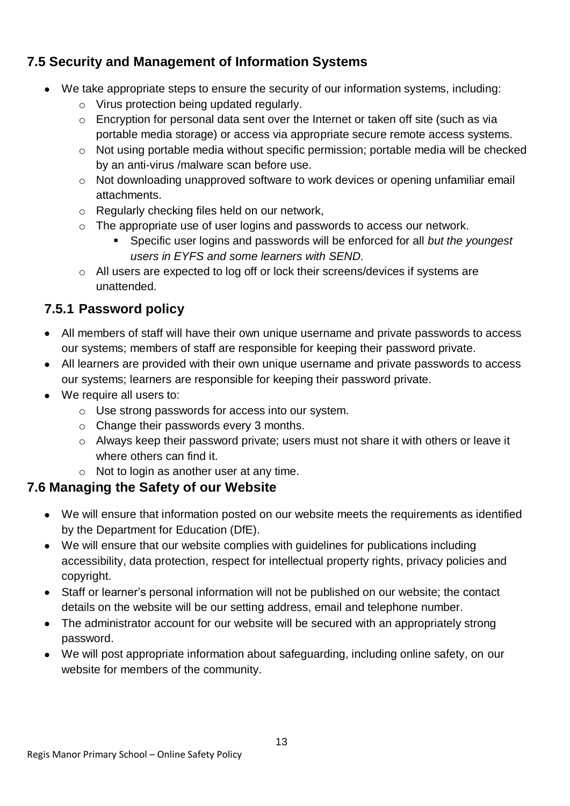#### **7.5 Security and Management of Information Systems**

- We take appropriate steps to ensure the security of our information systems, including:
	- o Virus protection being updated regularly.
	- o Encryption for personal data sent over the Internet or taken off site (such as via portable media storage) or access via appropriate secure remote access systems.
	- o Not using portable media without specific permission; portable media will be checked by an anti-virus /malware scan before use.
	- $\circ$  Not downloading unapproved software to work devices or opening unfamiliar email attachments.
	- o Regularly checking files held on our network,
	- o The appropriate use of user logins and passwords to access our network.
		- Specific user logins and passwords will be enforced for all *but the youngest users in EYFS and some learners with SEND.*
	- o All users are expected to log off or lock their screens/devices if systems are unattended.

### **7.5.1 Password policy**

- All members of staff will have their own unique username and private passwords to access our systems; members of staff are responsible for keeping their password private.
- All learners are provided with their own unique username and private passwords to access our systems; learners are responsible for keeping their password private.
- We require all users to:
	- o Use strong passwords for access into our system.
	- o Change their passwords every 3 months.
	- o Always keep their password private; users must not share it with others or leave it where others can find it.
	- o Not to login as another user at any time.

#### **7.6 Managing the Safety of our Website**

- We will ensure that information posted on our website meets the requirements as identified by the Department for Education (DfE).
- We will ensure that our website complies with guidelines for publications including accessibility, data protection, respect for intellectual property rights, privacy policies and copyright.
- Staff or learner's personal information will not be published on our website; the contact details on the website will be our setting address, email and telephone number.
- The administrator account for our website will be secured with an appropriately strong password.
- We will post appropriate information about safeguarding, including online safety, on our website for members of the community.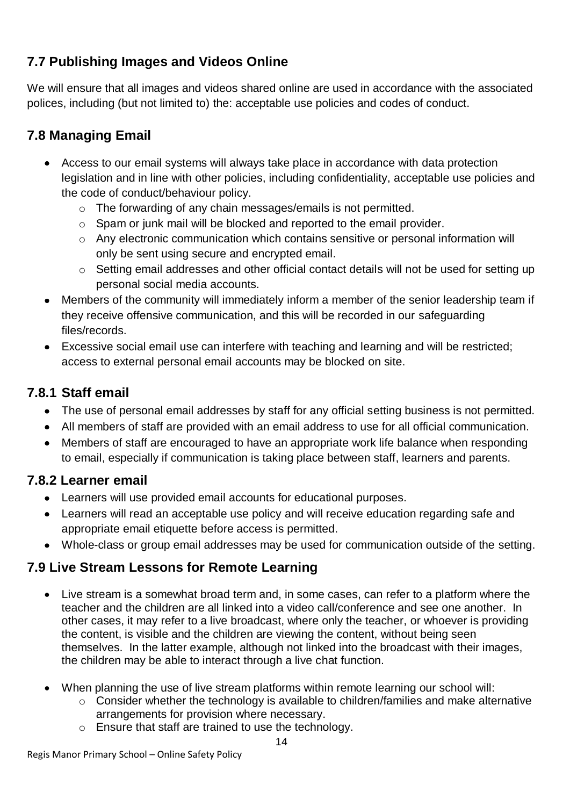### **7.7 Publishing Images and Videos Online**

We will ensure that all images and videos shared online are used in accordance with the associated polices, including (but not limited to) the: acceptable use policies and codes of conduct.

### **7.8 Managing Email**

- Access to our email systems will always take place in accordance with data protection legislation and in line with other policies, including confidentiality, acceptable use policies and the code of conduct/behaviour policy.
	- o The forwarding of any chain messages/emails is not permitted.
	- o Spam or junk mail will be blocked and reported to the email provider.
	- o Any electronic communication which contains sensitive or personal information will only be sent using secure and encrypted email.
	- o Setting email addresses and other official contact details will not be used for setting up personal social media accounts.
- Members of the community will immediately inform a member of the senior leadership team if they receive offensive communication, and this will be recorded in our safeguarding files/records.
- Excessive social email use can interfere with teaching and learning and will be restricted; access to external personal email accounts may be blocked on site.

#### **7.8.1 Staff email**

- The use of personal email addresses by staff for any official setting business is not permitted.
- All members of staff are provided with an email address to use for all official communication.
- Members of staff are encouraged to have an appropriate work life balance when responding to email, especially if communication is taking place between staff, learners and parents.

#### **7.8.2 Learner email**

- Learners will use provided email accounts for educational purposes.
- Learners will read an acceptable use policy and will receive education regarding safe and appropriate email etiquette before access is permitted.
- Whole-class or group email addresses may be used for communication outside of the setting.

### **7.9 Live Stream Lessons for Remote Learning**

- Live stream is a somewhat broad term and, in some cases, can refer to a platform where the teacher and the children are all linked into a video call/conference and see one another. In other cases, it may refer to a live broadcast, where only the teacher, or whoever is providing the content, is visible and the children are viewing the content, without being seen themselves. In the latter example, although not linked into the broadcast with their images, the children may be able to interact through a live chat function.
- When planning the use of live stream platforms within remote learning our school will:
	- o Consider whether the technology is available to children/families and make alternative arrangements for provision where necessary.
	- o Ensure that staff are trained to use the technology.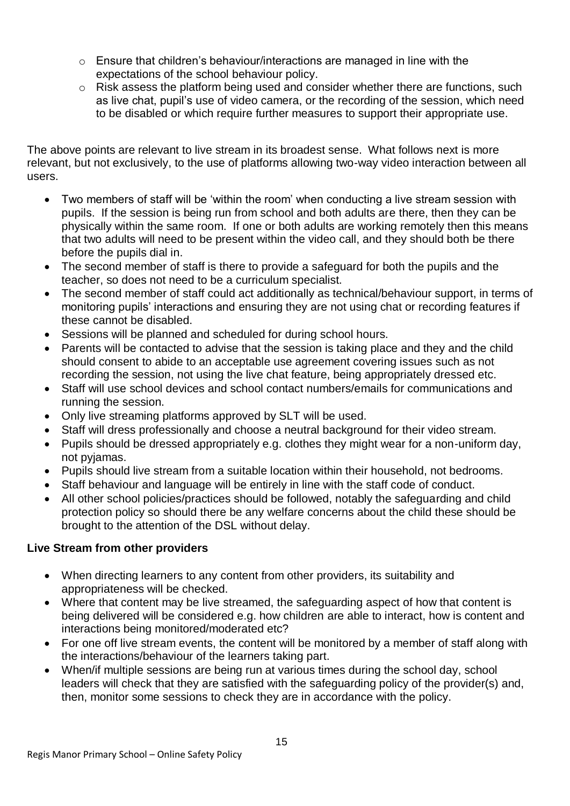- o Ensure that children's behaviour/interactions are managed in line with the expectations of the school behaviour policy.
- o Risk assess the platform being used and consider whether there are functions, such as live chat, pupil's use of video camera, or the recording of the session, which need to be disabled or which require further measures to support their appropriate use.

The above points are relevant to live stream in its broadest sense. What follows next is more relevant, but not exclusively, to the use of platforms allowing two-way video interaction between all users.

- Two members of staff will be 'within the room' when conducting a live stream session with pupils. If the session is being run from school and both adults are there, then they can be physically within the same room. If one or both adults are working remotely then this means that two adults will need to be present within the video call, and they should both be there before the pupils dial in.
- The second member of staff is there to provide a safeguard for both the pupils and the teacher, so does not need to be a curriculum specialist.
- The second member of staff could act additionally as technical/behaviour support, in terms of monitoring pupils' interactions and ensuring they are not using chat or recording features if these cannot be disabled.
- Sessions will be planned and scheduled for during school hours.
- Parents will be contacted to advise that the session is taking place and they and the child should consent to abide to an acceptable use agreement covering issues such as not recording the session, not using the live chat feature, being appropriately dressed etc.
- Staff will use school devices and school contact numbers/emails for communications and running the session.
- Only live streaming platforms approved by SLT will be used.
- Staff will dress professionally and choose a neutral background for their video stream.
- Pupils should be dressed appropriately e.g. clothes they might wear for a non-uniform day, not pyjamas.
- Pupils should live stream from a suitable location within their household, not bedrooms.
- Staff behaviour and language will be entirely in line with the staff code of conduct.
- All other school policies/practices should be followed, notably the safeguarding and child protection policy so should there be any welfare concerns about the child these should be brought to the attention of the DSL without delay.

#### **Live Stream from other providers**

- When directing learners to any content from other providers, its suitability and appropriateness will be checked.
- Where that content may be live streamed, the safeguarding aspect of how that content is being delivered will be considered e.g. how children are able to interact, how is content and interactions being monitored/moderated etc?
- For one off live stream events, the content will be monitored by a member of staff along with the interactions/behaviour of the learners taking part.
- When/if multiple sessions are being run at various times during the school day, school leaders will check that they are satisfied with the safeguarding policy of the provider(s) and, then, monitor some sessions to check they are in accordance with the policy.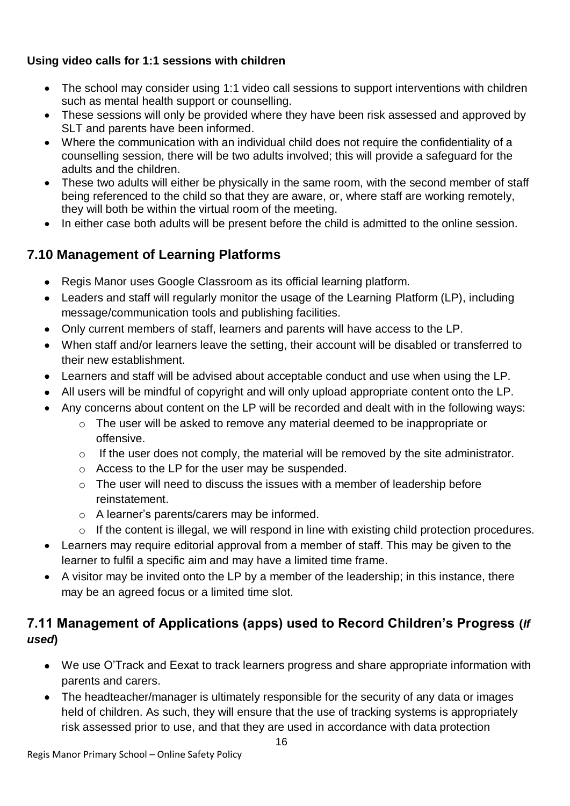#### **Using video calls for 1:1 sessions with children**

- The school may consider using 1:1 video call sessions to support interventions with children such as mental health support or counselling.
- These sessions will only be provided where they have been risk assessed and approved by SLT and parents have been informed.
- Where the communication with an individual child does not require the confidentiality of a counselling session, there will be two adults involved; this will provide a safeguard for the adults and the children.
- These two adults will either be physically in the same room, with the second member of staff being referenced to the child so that they are aware, or, where staff are working remotely, they will both be within the virtual room of the meeting.
- In either case both adults will be present before the child is admitted to the online session.

### **7.10 Management of Learning Platforms**

- Regis Manor uses Google Classroom as its official learning platform.
- Leaders and staff will regularly monitor the usage of the Learning Platform (LP), including message/communication tools and publishing facilities.
- Only current members of staff, learners and parents will have access to the LP.
- When staff and/or learners leave the setting, their account will be disabled or transferred to their new establishment.
- Learners and staff will be advised about acceptable conduct and use when using the LP.
- All users will be mindful of copyright and will only upload appropriate content onto the LP.
- Any concerns about content on the LP will be recorded and dealt with in the following ways:
	- o The user will be asked to remove any material deemed to be inappropriate or offensive.
	- o If the user does not comply, the material will be removed by the site administrator.
	- o Access to the LP for the user may be suspended.
	- $\circ$  The user will need to discuss the issues with a member of leadership before reinstatement.
	- o A learner's parents/carers may be informed.
	- o If the content is illegal, we will respond in line with existing child protection procedures.
- Learners may require editorial approval from a member of staff. This may be given to the learner to fulfil a specific aim and may have a limited time frame.
- A visitor may be invited onto the LP by a member of the leadership; in this instance, there may be an agreed focus or a limited time slot.

### **7.11 Management of Applications (apps) used to Record Children's Progress (***If used***)**

- We use O'Track and Eexat to track learners progress and share appropriate information with parents and carers.
- The headteacher/manager is ultimately responsible for the security of any data or images held of children. As such, they will ensure that the use of tracking systems is appropriately risk assessed prior to use, and that they are used in accordance with data protection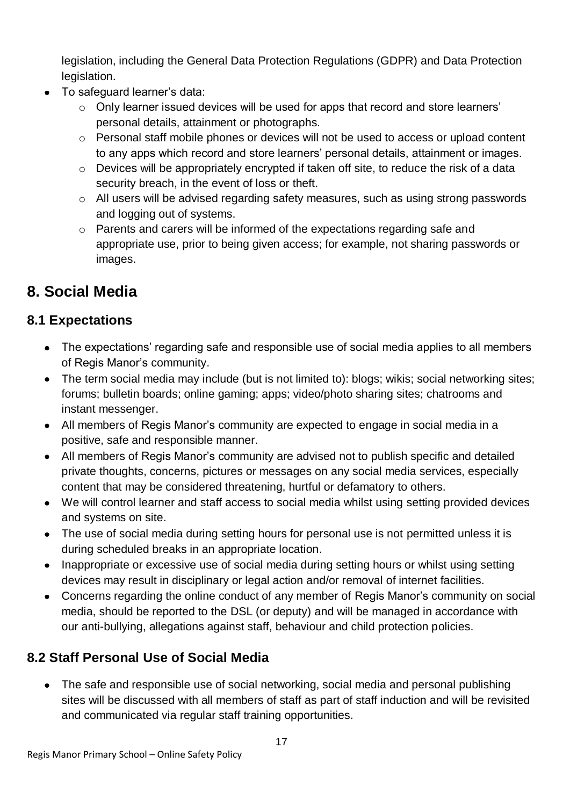legislation, including the General Data Protection Regulations (GDPR) and Data Protection legislation.

- To safeguard learner's data:
	- $\circ$  Only learner issued devices will be used for apps that record and store learners' personal details, attainment or photographs.
	- o Personal staff mobile phones or devices will not be used to access or upload content to any apps which record and store learners' personal details, attainment or images.
	- o Devices will be appropriately encrypted if taken off site, to reduce the risk of a data security breach, in the event of loss or theft.
	- $\circ$  All users will be advised regarding safety measures, such as using strong passwords and logging out of systems.
	- o Parents and carers will be informed of the expectations regarding safe and appropriate use, prior to being given access; for example, not sharing passwords or images.

### **8. Social Media**

### **8.1 Expectations**

- The expectations' regarding safe and responsible use of social media applies to all members of Regis Manor's community.
- The term social media may include (but is not limited to): blogs; wikis; social networking sites; forums; bulletin boards; online gaming; apps; video/photo sharing sites; chatrooms and instant messenger.
- All members of Regis Manor's community are expected to engage in social media in a positive, safe and responsible manner.
- All members of Regis Manor's community are advised not to publish specific and detailed private thoughts, concerns, pictures or messages on any social media services, especially content that may be considered threatening, hurtful or defamatory to others.
- We will control learner and staff access to social media whilst using setting provided devices and systems on site.
- The use of social media during setting hours for personal use is not permitted unless it is during scheduled breaks in an appropriate location.
- Inappropriate or excessive use of social media during setting hours or whilst using setting devices may result in disciplinary or legal action and/or removal of internet facilities.
- Concerns regarding the online conduct of any member of Regis Manor's community on social media, should be reported to the DSL (or deputy) and will be managed in accordance with our anti-bullying, allegations against staff, behaviour and child protection policies.

### **8.2 Staff Personal Use of Social Media**

• The safe and responsible use of social networking, social media and personal publishing sites will be discussed with all members of staff as part of staff induction and will be revisited and communicated via regular staff training opportunities.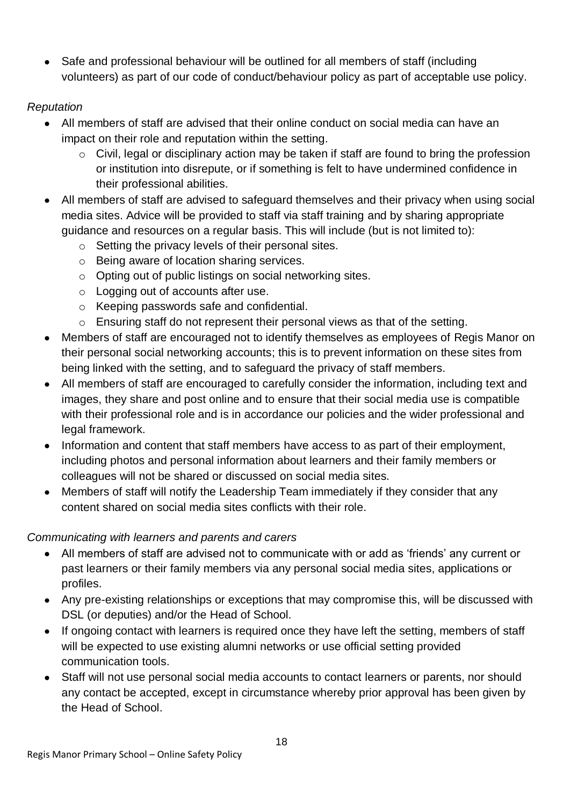• Safe and professional behaviour will be outlined for all members of staff (including volunteers) as part of our code of conduct/behaviour policy as part of acceptable use policy.

#### *Reputation*

- All members of staff are advised that their online conduct on social media can have an impact on their role and reputation within the setting.
	- o Civil, legal or disciplinary action may be taken if staff are found to bring the profession or institution into disrepute, or if something is felt to have undermined confidence in their professional abilities.
- All members of staff are advised to safeguard themselves and their privacy when using social media sites. Advice will be provided to staff via staff training and by sharing appropriate guidance and resources on a regular basis. This will include (but is not limited to):
	- o Setting the privacy levels of their personal sites.
	- o Being aware of location sharing services.
	- o Opting out of public listings on social networking sites.
	- o Logging out of accounts after use.
	- o Keeping passwords safe and confidential.
	- o Ensuring staff do not represent their personal views as that of the setting.
- Members of staff are encouraged not to identify themselves as employees of Regis Manor on their personal social networking accounts; this is to prevent information on these sites from being linked with the setting, and to safeguard the privacy of staff members.
- All members of staff are encouraged to carefully consider the information, including text and images, they share and post online and to ensure that their social media use is compatible with their professional role and is in accordance our policies and the wider professional and legal framework.
- Information and content that staff members have access to as part of their employment, including photos and personal information about learners and their family members or colleagues will not be shared or discussed on social media sites.
- Members of staff will notify the Leadership Team immediately if they consider that any content shared on social media sites conflicts with their role.

#### *Communicating with learners and parents and carers*

- All members of staff are advised not to communicate with or add as 'friends' any current or past learners or their family members via any personal social media sites, applications or profiles.
- Any pre-existing relationships or exceptions that may compromise this, will be discussed with DSL (or deputies) and/or the Head of School.
- If ongoing contact with learners is required once they have left the setting, members of staff will be expected to use existing alumni networks or use official setting provided communication tools.
- Staff will not use personal social media accounts to contact learners or parents, nor should any contact be accepted, except in circumstance whereby prior approval has been given by the Head of School.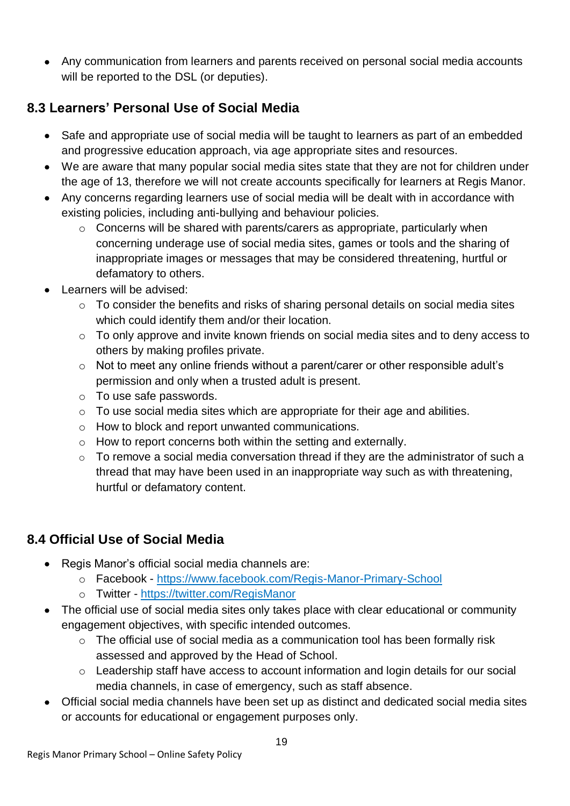Any communication from learners and parents received on personal social media accounts will be reported to the DSL (or deputies).

#### **8.3 Learners' Personal Use of Social Media**

- Safe and appropriate use of social media will be taught to learners as part of an embedded and progressive education approach, via age appropriate sites and resources.
- We are aware that many popular social media sites state that they are not for children under the age of 13, therefore we will not create accounts specifically for learners at Regis Manor.
- Any concerns regarding learners use of social media will be dealt with in accordance with existing policies, including anti-bullying and behaviour policies.
	- $\circ$  Concerns will be shared with parents/carers as appropriate, particularly when concerning underage use of social media sites, games or tools and the sharing of inappropriate images or messages that may be considered threatening, hurtful or defamatory to others.
- Learners will be advised:
	- o To consider the benefits and risks of sharing personal details on social media sites which could identify them and/or their location.
	- o To only approve and invite known friends on social media sites and to deny access to others by making profiles private.
	- o Not to meet any online friends without a parent/carer or other responsible adult's permission and only when a trusted adult is present.
	- o To use safe passwords.
	- o To use social media sites which are appropriate for their age and abilities.
	- o How to block and report unwanted communications.
	- o How to report concerns both within the setting and externally.
	- o To remove a social media conversation thread if they are the administrator of such a thread that may have been used in an inappropriate way such as with threatening, hurtful or defamatory content.

### **8.4 Official Use of Social Media**

- Regis Manor's official social media channels are:
	- o Facebook <https://www.facebook.com/Regis-Manor-Primary-School>
	- o Twitter <https://twitter.com/RegisManor>
- The official use of social media sites only takes place with clear educational or community engagement objectives, with specific intended outcomes.
	- $\circ$  The official use of social media as a communication tool has been formally risk assessed and approved by the Head of School.
	- $\circ$  Leadership staff have access to account information and login details for our social media channels, in case of emergency, such as staff absence.
- Official social media channels have been set up as distinct and dedicated social media sites or accounts for educational or engagement purposes only.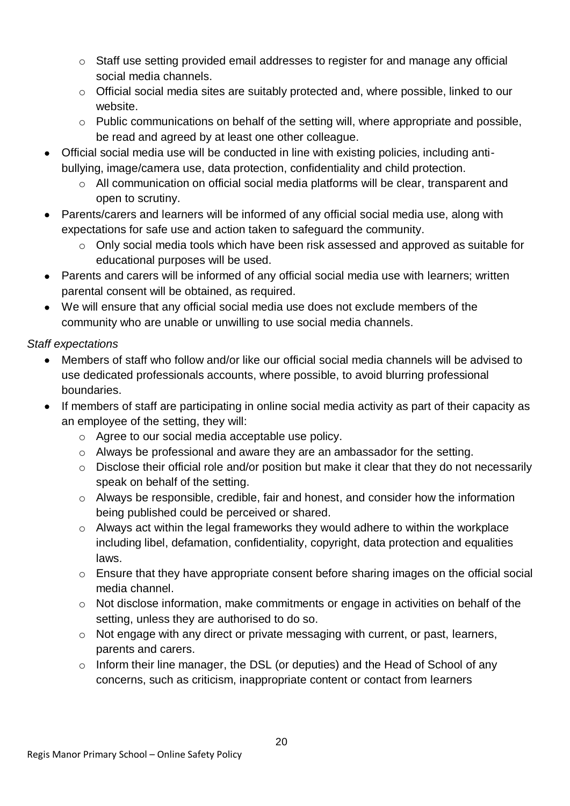- o Staff use setting provided email addresses to register for and manage any official social media channels.
- o Official social media sites are suitably protected and, where possible, linked to our website.
- o Public communications on behalf of the setting will, where appropriate and possible, be read and agreed by at least one other colleague.
- Official social media use will be conducted in line with existing policies, including antibullying, image/camera use, data protection, confidentiality and child protection.
	- o All communication on official social media platforms will be clear, transparent and open to scrutiny.
- Parents/carers and learners will be informed of any official social media use, along with expectations for safe use and action taken to safeguard the community.
	- o Only social media tools which have been risk assessed and approved as suitable for educational purposes will be used.
- Parents and carers will be informed of any official social media use with learners; written parental consent will be obtained, as required.
- We will ensure that any official social media use does not exclude members of the community who are unable or unwilling to use social media channels.

#### *Staff expectations*

- Members of staff who follow and/or like our official social media channels will be advised to use dedicated professionals accounts, where possible, to avoid blurring professional boundaries.
- If members of staff are participating in online social media activity as part of their capacity as an employee of the setting, they will:
	- o Agree to our social media acceptable use policy.
	- o Always be professional and aware they are an ambassador for the setting.
	- o Disclose their official role and/or position but make it clear that they do not necessarily speak on behalf of the setting.
	- o Always be responsible, credible, fair and honest, and consider how the information being published could be perceived or shared.
	- o Always act within the legal frameworks they would adhere to within the workplace including libel, defamation, confidentiality, copyright, data protection and equalities laws.
	- o Ensure that they have appropriate consent before sharing images on the official social media channel.
	- o Not disclose information, make commitments or engage in activities on behalf of the setting, unless they are authorised to do so.
	- o Not engage with any direct or private messaging with current, or past, learners, parents and carers.
	- o Inform their line manager, the DSL (or deputies) and the Head of School of any concerns, such as criticism, inappropriate content or contact from learners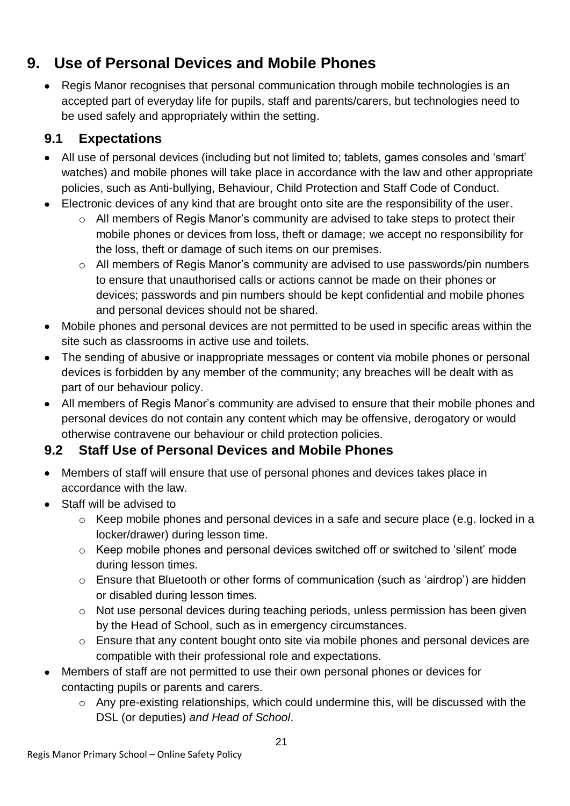### **9. Use of Personal Devices and Mobile Phones**

• Regis Manor recognises that personal communication through mobile technologies is an accepted part of everyday life for pupils, staff and parents/carers, but technologies need to be used safely and appropriately within the setting.

### **9.1 Expectations**

- All use of personal devices (including but not limited to; tablets, games consoles and 'smart' watches) and mobile phones will take place in accordance with the law and other appropriate policies, such as Anti-bullying, Behaviour, Child Protection and Staff Code of Conduct.
- Electronic devices of any kind that are brought onto site are the responsibility of the user.
	- o All members of Regis Manor's community are advised to take steps to protect their mobile phones or devices from loss, theft or damage; we accept no responsibility for the loss, theft or damage of such items on our premises.
	- o All members of Regis Manor's community are advised to use passwords/pin numbers to ensure that unauthorised calls or actions cannot be made on their phones or devices; passwords and pin numbers should be kept confidential and mobile phones and personal devices should not be shared.
- Mobile phones and personal devices are not permitted to be used in specific areas within the site such as classrooms in active use and toilets.
- The sending of abusive or inappropriate messages or content via mobile phones or personal devices is forbidden by any member of the community; any breaches will be dealt with as part of our behaviour policy.
- All members of Regis Manor's community are advised to ensure that their mobile phones and personal devices do not contain any content which may be offensive, derogatory or would otherwise contravene our behaviour or child protection policies.

### **9.2 Staff Use of Personal Devices and Mobile Phones**

- Members of staff will ensure that use of personal phones and devices takes place in accordance with the law.
- Staff will be advised to
	- o Keep mobile phones and personal devices in a safe and secure place (e.g. locked in a locker/drawer) during lesson time.
	- o Keep mobile phones and personal devices switched off or switched to 'silent' mode during lesson times.
	- o Ensure that Bluetooth or other forms of communication (such as 'airdrop') are hidden or disabled during lesson times.
	- o Not use personal devices during teaching periods, unless permission has been given by the Head of School, such as in emergency circumstances.
	- o Ensure that any content bought onto site via mobile phones and personal devices are compatible with their professional role and expectations.
- Members of staff are not permitted to use their own personal phones or devices for contacting pupils or parents and carers.
	- o Any pre-existing relationships, which could undermine this, will be discussed with the DSL (or deputies) *and Head of School*.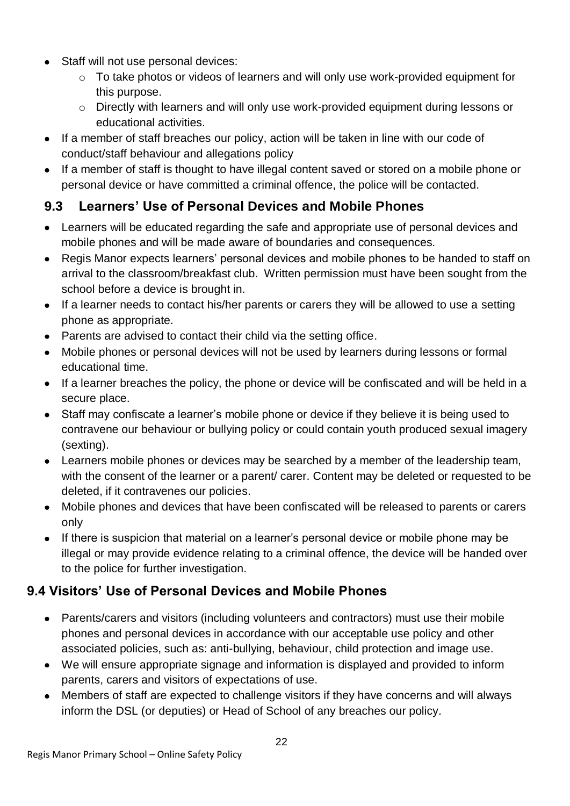- Staff will not use personal devices:
	- o To take photos or videos of learners and will only use work-provided equipment for this purpose.
	- o Directly with learners and will only use work-provided equipment during lessons or educational activities.
- If a member of staff breaches our policy, action will be taken in line with our code of conduct/staff behaviour and allegations policy
- If a member of staff is thought to have illegal content saved or stored on a mobile phone or personal device or have committed a criminal offence, the police will be contacted.

### **9.3 Learners' Use of Personal Devices and Mobile Phones**

- Learners will be educated regarding the safe and appropriate use of personal devices and mobile phones and will be made aware of boundaries and consequences.
- Regis Manor expects learners' personal devices and mobile phones to be handed to staff on arrival to the classroom/breakfast club. Written permission must have been sought from the school before a device is brought in.
- If a learner needs to contact his/her parents or carers they will be allowed to use a setting phone as appropriate.
- Parents are advised to contact their child via the setting office.
- Mobile phones or personal devices will not be used by learners during lessons or formal educational time.
- If a learner breaches the policy, the phone or device will be confiscated and will be held in a secure place.
- Staff may confiscate a learner's mobile phone or device if they believe it is being used to contravene our behaviour or bullying policy or could contain youth produced sexual imagery (sexting).
- Learners mobile phones or devices may be searched by a member of the leadership team, with the consent of the learner or a parent/ carer. Content may be deleted or requested to be deleted, if it contravenes our policies.
- Mobile phones and devices that have been confiscated will be released to parents or carers only
- If there is suspicion that material on a learner's personal device or mobile phone may be illegal or may provide evidence relating to a criminal offence, the device will be handed over to the police for further investigation.

### **9.4 Visitors' Use of Personal Devices and Mobile Phones**

- Parents/carers and visitors (including volunteers and contractors) must use their mobile phones and personal devices in accordance with our acceptable use policy and other associated policies, such as: anti-bullying, behaviour, child protection and image use.
- We will ensure appropriate signage and information is displayed and provided to inform parents, carers and visitors of expectations of use.
- Members of staff are expected to challenge visitors if they have concerns and will always inform the DSL (or deputies) or Head of School of any breaches our policy.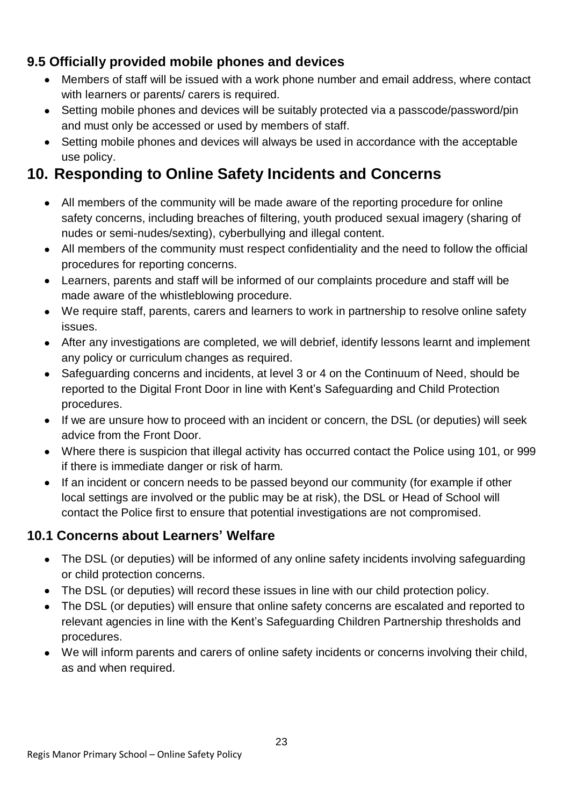#### **9.5 Officially provided mobile phones and devices**

- Members of staff will be issued with a work phone number and email address, where contact with learners or parents/ carers is required.
- Setting mobile phones and devices will be suitably protected via a passcode/password/pin and must only be accessed or used by members of staff.
- Setting mobile phones and devices will always be used in accordance with the acceptable use policy.

### **10. Responding to Online Safety Incidents and Concerns**

- All members of the community will be made aware of the reporting procedure for online safety concerns, including breaches of filtering, youth produced sexual imagery (sharing of nudes or semi-nudes/sexting), cyberbullying and illegal content.
- All members of the community must respect confidentiality and the need to follow the official procedures for reporting concerns.
- Learners, parents and staff will be informed of our complaints procedure and staff will be made aware of the whistleblowing procedure.
- We require staff, parents, carers and learners to work in partnership to resolve online safety issues.
- After any investigations are completed, we will debrief, identify lessons learnt and implement any policy or curriculum changes as required.
- Safeguarding concerns and incidents, at level 3 or 4 on the Continuum of Need, should be reported to the Digital Front Door in line with Kent's Safeguarding and Child Protection procedures.
- If we are unsure how to proceed with an incident or concern, the DSL (or deputies) will seek advice from the Front Door.
- Where there is suspicion that illegal activity has occurred contact the Police using 101, or 999 if there is immediate danger or risk of harm.
- If an incident or concern needs to be passed beyond our community (for example if other local settings are involved or the public may be at risk), the DSL or Head of School will contact the Police first to ensure that potential investigations are not compromised.

#### **10.1 Concerns about Learners' Welfare**

- The DSL (or deputies) will be informed of any online safety incidents involving safeguarding or child protection concerns.
- The DSL (or deputies) will record these issues in line with our child protection policy.
- The DSL (or deputies) will ensure that online safety concerns are escalated and reported to relevant agencies in line with the Kent's Safeguarding Children Partnership thresholds and procedures.
- We will inform parents and carers of online safety incidents or concerns involving their child, as and when required.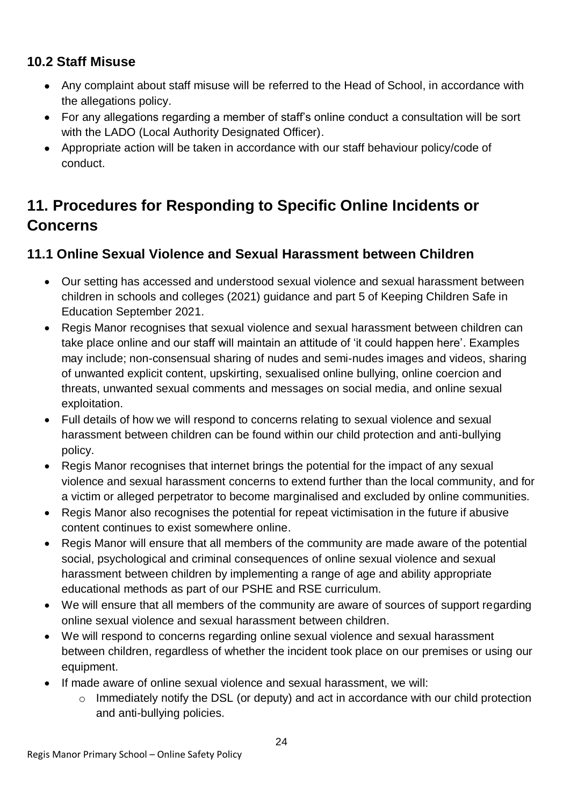#### **10.2 Staff Misuse**

- Any complaint about staff misuse will be referred to the Head of School, in accordance with the allegations policy.
- For any allegations regarding a member of staff's online conduct a consultation will be sort with the LADO (Local Authority Designated Officer).
- Appropriate action will be taken in accordance with our staff behaviour policy/code of conduct.

### **11. Procedures for Responding to Specific Online Incidents or Concerns**

### **11.1 Online Sexual Violence and Sexual Harassment between Children**

- Our setting has accessed and understood sexual violence and sexual harassment between children in schools and colleges (2021) guidance and part 5 of Keeping Children Safe in Education September 2021.
- Regis Manor recognises that sexual violence and sexual harassment between children can take place online and our staff will maintain an attitude of 'it could happen here'. Examples may include; non-consensual sharing of nudes and semi-nudes images and videos, sharing of unwanted explicit content, upskirting, sexualised online bullying, online coercion and threats, unwanted sexual comments and messages on social media, and online sexual exploitation.
- Full details of how we will respond to concerns relating to sexual violence and sexual harassment between children can be found within our child protection and anti-bullying policy.
- Regis Manor recognises that internet brings the potential for the impact of any sexual violence and sexual harassment concerns to extend further than the local community, and for a victim or alleged perpetrator to become marginalised and excluded by online communities.
- Regis Manor also recognises the potential for repeat victimisation in the future if abusive content continues to exist somewhere online.
- Regis Manor will ensure that all members of the community are made aware of the potential social, psychological and criminal consequences of online sexual violence and sexual harassment between children by implementing a range of age and ability appropriate educational methods as part of our PSHE and RSE curriculum.
- We will ensure that all members of the community are aware of sources of support regarding online sexual violence and sexual harassment between children.
- We will respond to concerns regarding online sexual violence and sexual harassment between children, regardless of whether the incident took place on our premises or using our equipment.
- If made aware of online sexual violence and sexual harassment, we will:
	- o Immediately notify the DSL (or deputy) and act in accordance with our child protection and anti-bullying policies.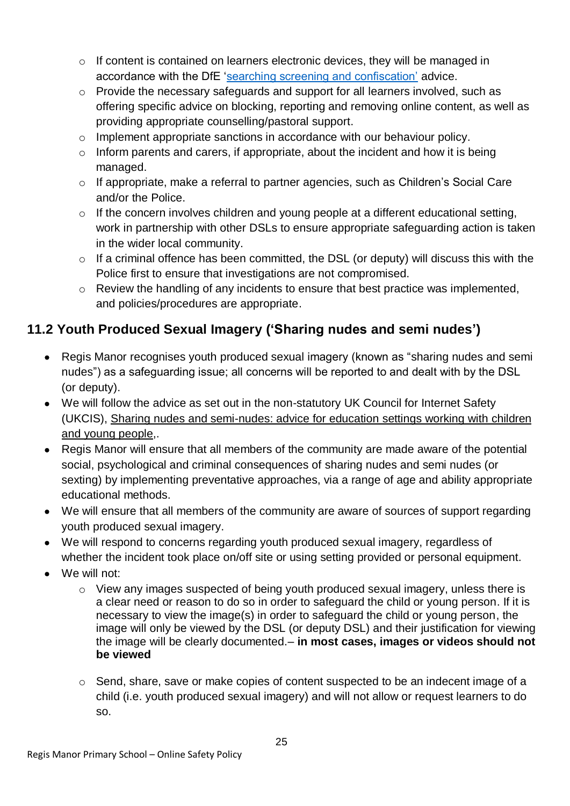- o If content is contained on learners electronic devices, they will be managed in accordance with the DfE ['searching screening and confiscation'](https://www.gov.uk/government/publications/searching-screening-and-confiscation) advice.
- o Provide the necessary safeguards and support for all learners involved, such as offering specific advice on blocking, reporting and removing online content, as well as providing appropriate counselling/pastoral support.
- o Implement appropriate sanctions in accordance with our behaviour policy.
- $\circ$  Inform parents and carers, if appropriate, about the incident and how it is being managed.
- o If appropriate, make a referral to partner agencies, such as Children's Social Care and/or the Police.
- o If the concern involves children and young people at a different educational setting, work in partnership with other DSLs to ensure appropriate safeguarding action is taken in the wider local community.
- o If a criminal offence has been committed, the DSL (or deputy) will discuss this with the Police first to ensure that investigations are not compromised.
- o Review the handling of any incidents to ensure that best practice was implemented, and policies/procedures are appropriate.

### **11.2 Youth Produced Sexual Imagery ('Sharing nudes and semi nudes')**

- Regis Manor recognises youth produced sexual imagery (known as "sharing nudes and semi nudes") as a safeguarding issue; all concerns will be reported to and dealt with by the DSL (or deputy).
- We will follow the advice as set out in the non-statutory UK Council for Internet Safety (UKCIS), Sharing nudes and [semi-nudes:](https://www.gov.uk/government/publications/sharing-nudes-and-semi-nudes-advice-for-education-settings-working-with-children-and-young-people) advice for education settings working with children and young [people,](https://www.gov.uk/government/publications/sharing-nudes-and-semi-nudes-advice-for-education-settings-working-with-children-and-young-people).
- Regis Manor will ensure that all members of the community are made aware of the potential social, psychological and criminal consequences of sharing nudes and semi nudes (or sexting) by implementing preventative approaches, via a range of age and ability appropriate educational methods.
- We will ensure that all members of the community are aware of sources of support regarding youth produced sexual imagery.
- We will respond to concerns regarding youth produced sexual imagery, regardless of whether the incident took place on/off site or using setting provided or personal equipment.
- We will not:
	- o View any images suspected of being youth produced sexual imagery, unless there is a clear need or reason to do so in order to safeguard the child or young person. If it is necessary to view the image(s) in order to safeguard the child or young person, the image will only be viewed by the DSL (or deputy DSL) and their justification for viewing the image will be clearly documented.– **in most cases, images or videos should not be viewed**
	- o Send, share, save or make copies of content suspected to be an indecent image of a child (i.e. youth produced sexual imagery) and will not allow or request learners to do so.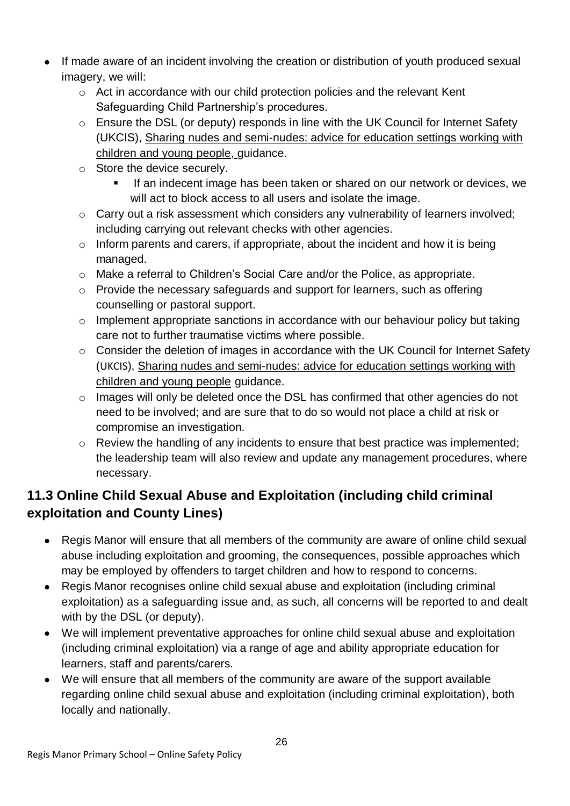- If made aware of an incident involving the creation or distribution of youth produced sexual imagery, we will:
	- o Act in accordance with our child protection policies and the relevant Kent Safeguarding Child Partnership's procedures.
	- o Ensure the DSL (or deputy) responds in line with the UK Council for Internet Safety (UKCIS), Sharing nudes and [semi-nudes:](https://www.gov.uk/government/publications/sharing-nudes-and-semi-nudes-advice-for-education-settings-working-with-children-and-young-people) advice for education settings working with [children](https://www.gov.uk/government/publications/sharing-nudes-and-semi-nudes-advice-for-education-settings-working-with-children-and-young-people) and young people, guidance.
	- o Store the device securely.
		- If an indecent image has been taken or shared on our network or devices, we will act to block access to all users and isolate the image.
	- o Carry out a risk assessment which considers any vulnerability of learners involved; including carrying out relevant checks with other agencies.
	- $\circ$  Inform parents and carers, if appropriate, about the incident and how it is being managed.
	- o Make a referral to Children's Social Care and/or the Police, as appropriate.
	- o Provide the necessary safeguards and support for learners, such as offering counselling or pastoral support.
	- o Implement appropriate sanctions in accordance with our behaviour policy but taking care not to further traumatise victims where possible.
	- o Consider the deletion of images in accordance with the UK Council for Internet Safety (UKCIS), Sharing nudes and [semi-nudes:](https://www.gov.uk/government/publications/sharing-nudes-and-semi-nudes-advice-for-education-settings-working-with-children-and-young-people) advice for education settings working with [children](https://www.gov.uk/government/publications/sharing-nudes-and-semi-nudes-advice-for-education-settings-working-with-children-and-young-people) and young people guidance.
	- o Images will only be deleted once the DSL has confirmed that other agencies do not need to be involved; and are sure that to do so would not place a child at risk or compromise an investigation.
	- o Review the handling of any incidents to ensure that best practice was implemented; the leadership team will also review and update any management procedures, where necessary.

### **11.3 Online Child Sexual Abuse and Exploitation (including child criminal exploitation and County Lines)**

- Regis Manor will ensure that all members of the community are aware of online child sexual abuse including exploitation and grooming, the consequences, possible approaches which may be employed by offenders to target children and how to respond to concerns.
- Regis Manor recognises online child sexual abuse and exploitation (including criminal exploitation) as a safeguarding issue and, as such, all concerns will be reported to and dealt with by the DSL (or deputy).
- We will implement preventative approaches for online child sexual abuse and exploitation (including criminal exploitation) via a range of age and ability appropriate education for learners, staff and parents/carers.
- We will ensure that all members of the community are aware of the support available regarding online child sexual abuse and exploitation (including criminal exploitation), both locally and nationally.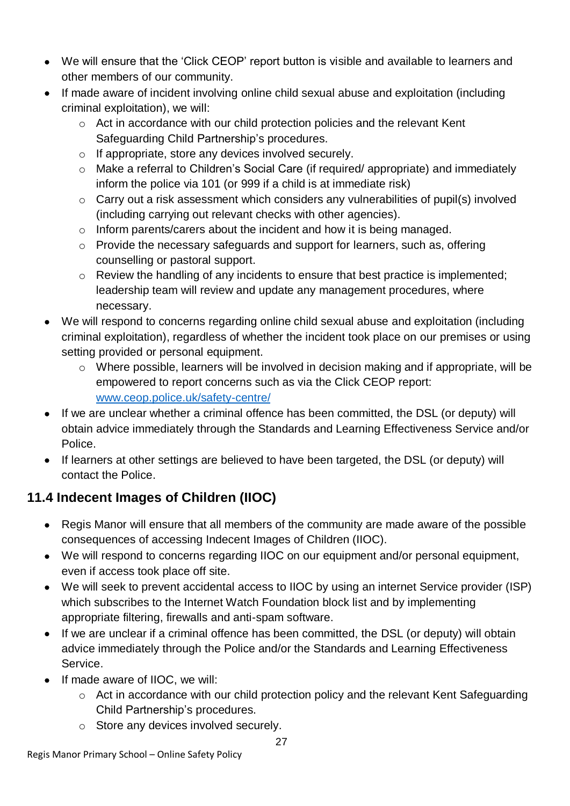- We will ensure that the 'Click CEOP' report button is visible and available to learners and other members of our community.
- If made aware of incident involving online child sexual abuse and exploitation (including criminal exploitation), we will:
	- o Act in accordance with our child protection policies and the relevant Kent Safeguarding Child Partnership's procedures.
	- o If appropriate, store any devices involved securely.
	- o Make a referral to Children's Social Care (if required/ appropriate) and immediately inform the police via 101 (or 999 if a child is at immediate risk)
	- o Carry out a risk assessment which considers any vulnerabilities of pupil(s) involved (including carrying out relevant checks with other agencies).
	- o Inform parents/carers about the incident and how it is being managed.
	- o Provide the necessary safeguards and support for learners, such as, offering counselling or pastoral support.
	- o Review the handling of any incidents to ensure that best practice is implemented; leadership team will review and update any management procedures, where necessary.
- We will respond to concerns regarding online child sexual abuse and exploitation (including criminal exploitation), regardless of whether the incident took place on our premises or using setting provided or personal equipment.
	- o Where possible, learners will be involved in decision making and if appropriate, will be empowered to report concerns such as via the Click CEOP report: [www.ceop.police.uk/safety-centre/](http://www.ceop.police.uk/safety-centre/)
- If we are unclear whether a criminal offence has been committed, the DSL (or deputy) will obtain advice immediately through the Standards and Learning Effectiveness Service and/or Police.
- If learners at other settings are believed to have been targeted, the DSL (or deputy) will contact the Police.

### **11.4 Indecent Images of Children (IIOC)**

- Regis Manor will ensure that all members of the community are made aware of the possible consequences of accessing Indecent Images of Children (IIOC).
- We will respond to concerns regarding IIOC on our equipment and/or personal equipment, even if access took place off site.
- We will seek to prevent accidental access to IIOC by using an internet Service provider (ISP) which subscribes to the Internet Watch Foundation block list and by implementing appropriate filtering, firewalls and anti-spam software.
- If we are unclear if a criminal offence has been committed, the DSL (or deputy) will obtain advice immediately through the Police and/or the Standards and Learning Effectiveness Service.
- If made aware of IIOC, we will:
	- o Act in accordance with our child protection policy and the relevant Kent Safeguarding Child Partnership's procedures.
	- o Store any devices involved securely.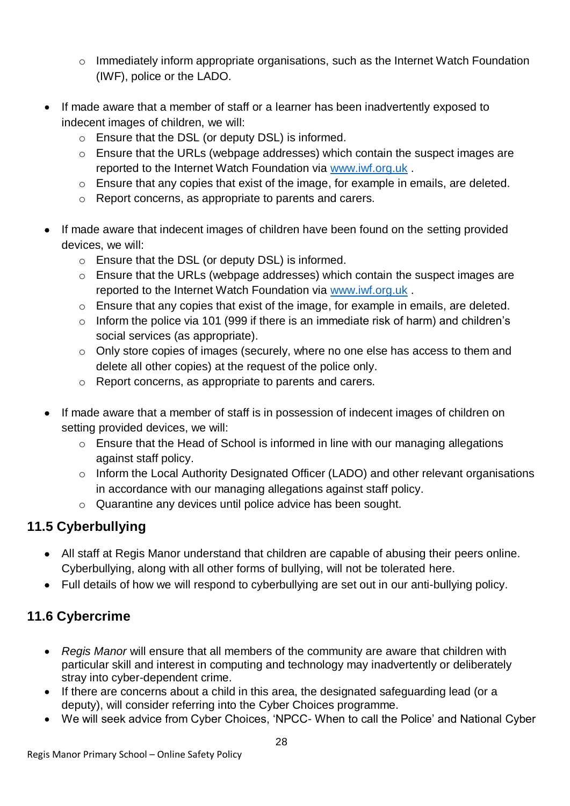- o Immediately inform appropriate organisations, such as the Internet Watch Foundation (IWF), police or the LADO.
- If made aware that a member of staff or a learner has been inadvertently exposed to indecent images of children, we will:
	- o Ensure that the DSL (or deputy DSL) is informed.
	- o Ensure that the URLs (webpage addresses) which contain the suspect images are reported to the Internet Watch Foundation via [www.iwf.org.uk](https://www.iwf.org.uk/) .
	- o Ensure that any copies that exist of the image, for example in emails, are deleted.
	- o Report concerns, as appropriate to parents and carers.
- If made aware that indecent images of children have been found on the setting provided devices, we will:
	- o Ensure that the DSL (or deputy DSL) is informed.
	- o Ensure that the URLs (webpage addresses) which contain the suspect images are reported to the Internet Watch Foundation via [www.iwf.org.uk](https://www.iwf.org.uk/) .
	- o Ensure that any copies that exist of the image, for example in emails, are deleted.
	- o Inform the police via 101 (999 if there is an immediate risk of harm) and children's social services (as appropriate).
	- o Only store copies of images (securely, where no one else has access to them and delete all other copies) at the request of the police only.
	- o Report concerns, as appropriate to parents and carers.
- If made aware that a member of staff is in possession of indecent images of children on setting provided devices, we will:
	- o Ensure that the Head of School is informed in line with our managing allegations against staff policy.
	- o Inform the Local Authority Designated Officer (LADO) and other relevant organisations in accordance with our managing allegations against staff policy.
	- o Quarantine any devices until police advice has been sought.

### **11.5 Cyberbullying**

- All staff at Regis Manor understand that children are capable of abusing their peers online. Cyberbullying, along with all other forms of bullying, will not be tolerated here.
- Full details of how we will respond to cyberbullying are set out in our anti-bullying policy.

### **11.6 Cybercrime**

- *Regis Manor* will ensure that all members of the community are aware that children with particular skill and interest in computing and technology may inadvertently or deliberately stray into cyber-dependent crime.
- If there are concerns about a child in this area, the designated safeguarding lead (or a deputy), will consider referring into the Cyber Choices programme.
- We will seek advice from Cyber Choices, 'NPCC- When to call the Police' and National Cyber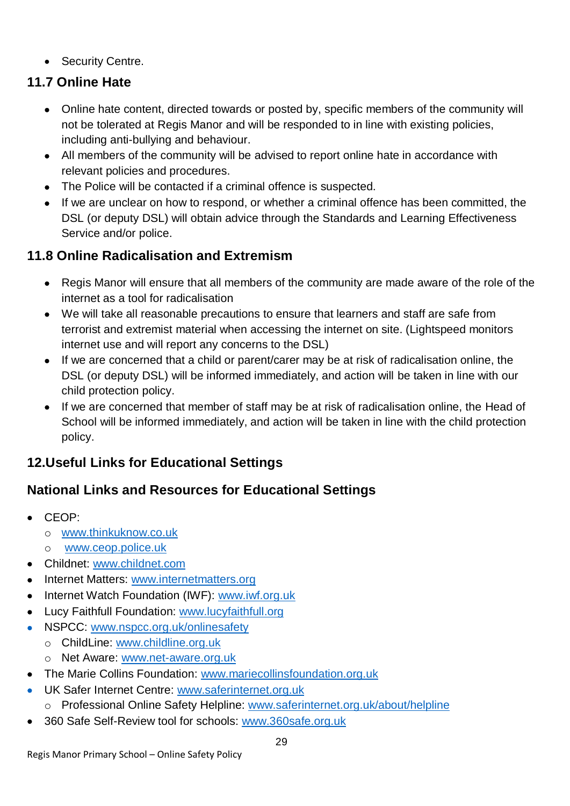• Security Centre.

#### **11.7 Online Hate**

- Online hate content, directed towards or posted by, specific members of the community will not be tolerated at Regis Manor and will be responded to in line with existing policies, including anti-bullying and behaviour.
- All members of the community will be advised to report online hate in accordance with relevant policies and procedures.
- The Police will be contacted if a criminal offence is suspected.
- If we are unclear on how to respond, or whether a criminal offence has been committed, the DSL (or deputy DSL) will obtain advice through the Standards and Learning Effectiveness Service and/or police.

#### **11.8 Online Radicalisation and Extremism**

- Regis Manor will ensure that all members of the community are made aware of the role of the internet as a tool for radicalisation
- We will take all reasonable precautions to ensure that learners and staff are safe from terrorist and extremist material when accessing the internet on site. (Lightspeed monitors internet use and will report any concerns to the DSL)
- If we are concerned that a child or parent/carer may be at risk of radicalisation online, the DSL (or deputy DSL) will be informed immediately, and action will be taken in line with our child protection policy.
- If we are concerned that member of staff may be at risk of radicalisation online, the Head of School will be informed immediately, and action will be taken in line with the child protection policy.

### **12.Useful Links for Educational Settings**

#### **National Links and Resources for Educational Settings**

- CEOP:
	- o [www.thinkuknow.co.uk](http://www.thinkuknow.co.uk/)
	- o [www.ceop.police.uk](http://www.ceop.police.uk/)
- Childnet: [www.childnet.com](http://www.childnet.com/)
- Internet Matters: [www.internetmatters.org](http://www.internetmatters.org/)
- Internet Watch Foundation (IWF): www.iwf.org.uk
- Lucy Faithfull Foundation: [www.lucyfaithfull.org](http://www.lucyfaithfull.org/)
- NSPCC: [www.nspcc.org.uk/onlinesafety](http://www.nspcc.org.uk/onlinesafety)
	- o ChildLine: [www.childline.org.uk](http://www.childline.org.uk/)
	- o Net Aware: [www.net-aware.org.uk](http://www.net-aware.org.uk/)
- The Marie Collins Foundation: [www.mariecollinsfoundation.org.uk](http://www.mariecollinsfoundation.org.uk/)
- **UK Safer Internet Centre: [www.saferinternet.org.uk](http://www.saferinternet.org.uk/)** 
	- o Professional Online Safety Helpline: [www.saferinternet.org.uk/about/helpline](http://www.saferinternet.org.uk/about/helpline)
- 360 Safe Self-Review tool for schools: [www.360safe.org.uk](http://www.360safe.org.uk/)